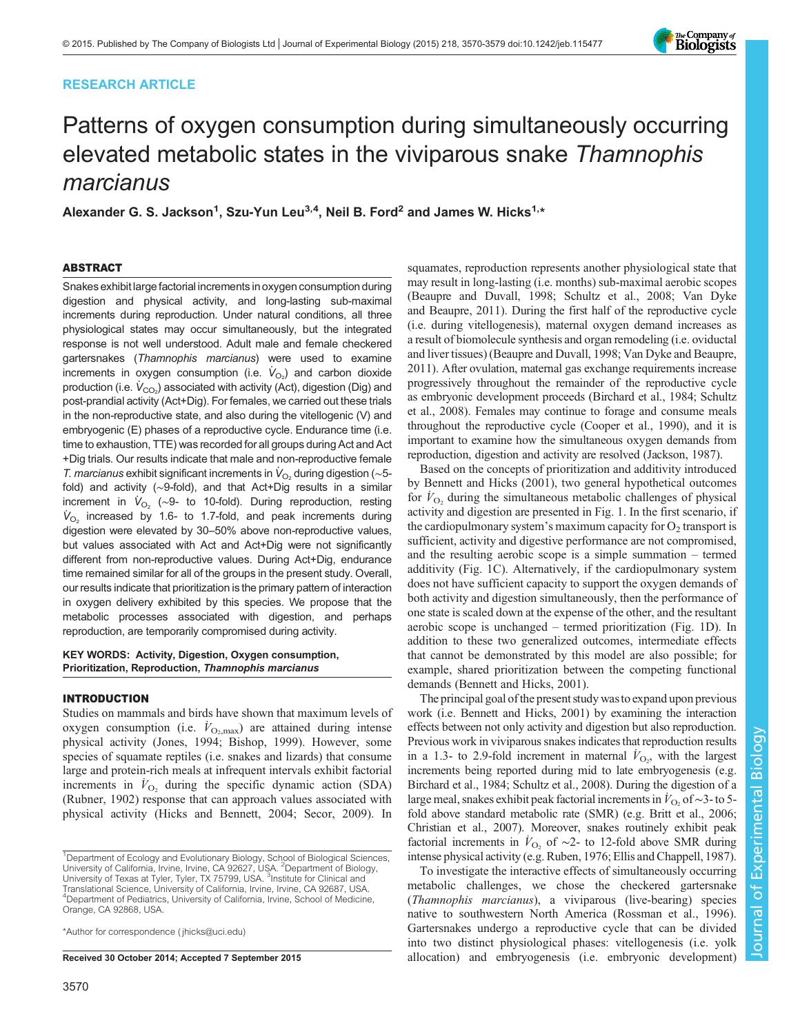# RESEARCH ARTICLE



# Patterns of oxygen consumption during simultaneously occurring elevated metabolic states in the viviparous snake Thamnophis marcianus

Alexander G. S. Jackson<sup>1</sup>, Szu-Yun Leu<sup>3,4</sup>, Neil B. Ford<sup>2</sup> and James W. Hicks<sup>1,\*</sup>

## ABSTRACT

Snakes exhibit large factorial increments in oxygen consumption during digestion and physical activity, and long-lasting sub-maximal increments during reproduction. Under natural conditions, all three physiological states may occur simultaneously, but the integrated response is not well understood. Adult male and female checkered gartersnakes (Thamnophis marcianus) were used to examine increments in oxygen consumption (i.e.  $\dot{V}_{\text{O}_2}$ ) and carbon dioxide production (i.e.  $\dot{V}_{\rm CO_2}$ ) associated with activity (Act), digestion (Dig) and post-prandial activity (Act+Dig). For females, we carried out these trials in the non-reproductive state, and also during the vitellogenic (V) and embryogenic (E) phases of a reproductive cycle. Endurance time (i.e. time to exhaustion, TTE) was recorded for all groups during Act and Act +Dig trials. Our results indicate that male and non-reproductive female T. marcianus exhibit significant increments in  $\dot{V}_{\text{O}_2}$  during digestion (~5fold) and activity (∼9-fold), and that Act+Dig results in a similar increment in  $\dot{V}_{O_2}$  (~9- to 10-fold). During reproduction, resting  $\dot{V}_{\text{O}_2}$  increased by 1.6- to 1.7-fold, and peak increments during digestion were elevated by 30–50% above non-reproductive values, but values associated with Act and Act+Dig were not significantly different from non-reproductive values. During Act+Dig, endurance time remained similar for all of the groups in the present study. Overall, our results indicate that prioritization is the primary pattern of interaction in oxygen delivery exhibited by this species. We propose that the metabolic processes associated with digestion, and perhaps reproduction, are temporarily compromised during activity.

## KEY WORDS: Activity, Digestion, Oxygen consumption, Prioritization, Reproduction, Thamnophis marcianus

#### INTRODUCTION

Studies on mammals and birds have shown that maximum levels of oxygen consumption (i.e.  $\dot{V}_{\text{O}_2,\text{max}}$ ) are attained during intense physical activity [\(Jones, 1994; Bishop, 1999](#page-8-0)). However, some species of squamate reptiles (i.e. snakes and lizards) that consume large and protein-rich meals at infrequent intervals exhibit factorial increments in  $\dot{V}_{\text{O}_2}$  during the specific dynamic action (SDA) [\(Rubner, 1902](#page-8-0)) response that can approach values associated with physical activity [\(Hicks and Bennett, 2004; Secor, 2009](#page-8-0)). In

\*Author for correspondence [\( jhicks@uci.edu\)](mailto:jhicks@uci.edu)

squamates, reproduction represents another physiological state that may result in long-lasting (i.e. months) sub-maximal aerobic scopes [\(Beaupre and Duvall, 1998](#page-7-0); [Schultz et al., 2008](#page-8-0); [Van Dyke](#page-8-0) [and Beaupre, 2011](#page-8-0)). During the first half of the reproductive cycle (i.e. during vitellogenesis), maternal oxygen demand increases as a result of biomolecule synthesis and organ remodeling (i.e. oviductal and liver tissues) ([Beaupre and Duvall, 1998;](#page-7-0) [Van Dyke and Beaupre,](#page-8-0) [2011\)](#page-8-0). After ovulation, maternal gas exchange requirements increase progressively throughout the remainder of the reproductive cycle as embryonic development proceeds ([Birchard et al., 1984;](#page-7-0) [Schultz](#page-8-0) [et al., 2008](#page-8-0)). Females may continue to forage and consume meals throughout the reproductive cycle [\(Cooper et al., 1990](#page-8-0)), and it is important to examine how the simultaneous oxygen demands from reproduction, digestion and activity are resolved [\(Jackson, 1987](#page-8-0)).

Based on the concepts of prioritization and additivity introduced by [Bennett and Hicks \(2001\)](#page-7-0), two general hypothetical outcomes for  $V_{\text{O}_2}$  during the simultaneous metabolic challenges of physical activity and digestion are presented in [Fig. 1](#page-1-0). In the first scenario, if the cardiopulmonary system's maximum capacity for  $O_2$  transport is sufficient, activity and digestive performance are not compromised, and the resulting aerobic scope is a simple summation – termed additivity [\(Fig. 1](#page-1-0)C). Alternatively, if the cardiopulmonary system does not have sufficient capacity to support the oxygen demands of both activity and digestion simultaneously, then the performance of one state is scaled down at the expense of the other, and the resultant aerobic scope is unchanged – termed prioritization ([Fig. 1](#page-1-0)D). In addition to these two generalized outcomes, intermediate effects that cannot be demonstrated by this model are also possible; for example, shared prioritization between the competing functional demands [\(Bennett and Hicks, 2001\)](#page-7-0).

The principal goal of the present study wasto expand upon previous work (i.e. [Bennett and Hicks, 2001](#page-7-0)) by examining the interaction effects between not only activity and digestion but also reproduction. Previous work in viviparous snakes indicates that reproduction results in a 1.3- to 2.9-fold increment in maternal  $\dot{V}_{\text{O}_2}$ , with the largest increments being reported during mid to late embryogenesis (e.g. [Birchard et al., 1984;](#page-7-0) [Schultz et al., 2008\)](#page-8-0). During the digestion of a large meal, snakes exhibit peak factorial increments in  $\dot{V}_{\text{O}_2}$  of ~3-to 5fold above standard metabolic rate (SMR) (e.g. [Britt et al., 2006](#page-8-0); [Christian et al., 2007](#page-8-0)). Moreover, snakes routinely exhibit peak factorial increments in  $\dot{V}_{\text{O}_2}$  of ~2- to 12-fold above SMR during intense physical activity (e.g. [Ruben, 1976](#page-8-0); [Ellis and Chappell, 1987\)](#page-8-0).

To investigate the interactive effects of simultaneously occurring metabolic challenges, we chose the checkered gartersnake (Thamnophis marcianus), a viviparous (live-bearing) species native to southwestern North America [\(Rossman et al., 1996\)](#page-8-0). Gartersnakes undergo a reproductive cycle that can be divided into two distinct physiological phases: vitellogenesis (i.e. yolk Received 30 October 2014; Accepted 7 September 2015 allocation) and embryogenesis (i.e. embryonic development)

<sup>&</sup>lt;sup>1</sup>Department of Ecology and Evolutionary Biology, School of Biological Sciences, University of California, Irvine, Irvine, CA 92627, USA. <sup>2</sup>Department of Biology, University of Texas at Tyler, Tyler, TX 75799, USA. <sup>3</sup>Institute for Clinical and Translational Science, University of California, Irvine, Irvine, CA 92687, USA. <sup>4</sup>Department of Pediatrics, University of California, Irvine, School of Medicine, Orange, CA 92868, USA.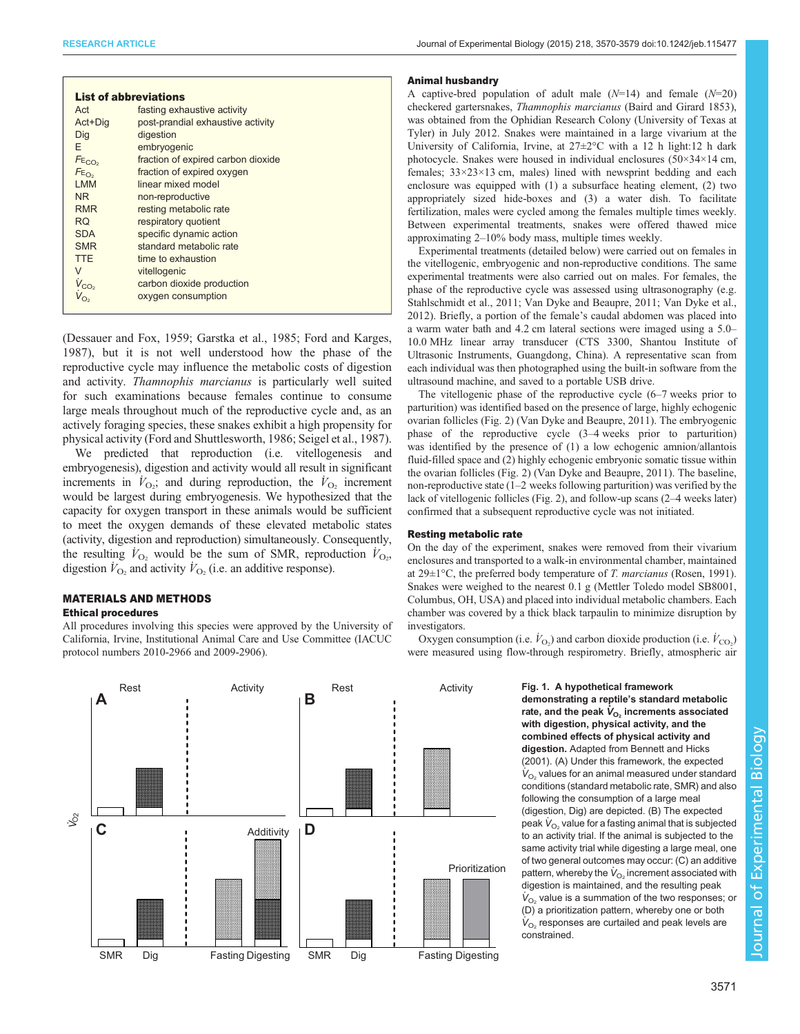| Journal of Experimental Biology (2015) 218, 3570-3579 doi:10.1242/jeb.115477 |  |  |  |  |
|------------------------------------------------------------------------------|--|--|--|--|
|------------------------------------------------------------------------------|--|--|--|--|

<span id="page-1-0"></span>

|                              | <b>List of abbreviations</b>       |
|------------------------------|------------------------------------|
| Act                          | fasting exhaustive activity        |
| Act+Dig                      | post-prandial exhaustive activity  |
| Dig                          | digestion                          |
| F                            | embryogenic                        |
| FE <sub>CO<sub>2</sub></sub> | fraction of expired carbon dioxide |
| $FE_{O_2}$                   | fraction of expired oxygen         |
| <b>I MM</b>                  | linear mixed model                 |
| N <sub>R</sub>               | non-reproductive                   |
| <b>RMR</b>                   | resting metabolic rate             |
| RQ.                          | respiratory quotient               |
| <b>SDA</b>                   | specific dynamic action            |
| <b>SMR</b>                   | standard metabolic rate            |
| <b>TTE</b>                   | time to exhaustion                 |
| V                            | vitellogenic                       |
| $V_{CO2}$                    | carbon dioxide production          |
|                              | oxygen consumption                 |

[\(Dessauer and Fox, 1959; Garstka et al., 1985](#page-8-0); [Ford and Karges,](#page-8-0) [1987](#page-8-0)), but it is not well understood how the phase of the reproductive cycle may influence the metabolic costs of digestion and activity. Thamnophis marcianus is particularly well suited for such examinations because females continue to consume large meals throughout much of the reproductive cycle and, as an actively foraging species, these snakes exhibit a high propensity for physical activity ([Ford and Shuttlesworth, 1986](#page-8-0); [Seigel et al., 1987\)](#page-8-0).

We predicted that reproduction (i.e. vitellogenesis and embryogenesis), digestion and activity would all result in significant increments in  $\dot{V}_{\text{O}_2}$ ; and during reproduction, the  $\dot{V}_{\text{O}_2}$  increment would be largest during embryogenesis. We hypothesized that the capacity for oxygen transport in these animals would be sufficient to meet the oxygen demands of these elevated metabolic states (activity, digestion and reproduction) simultaneously. Consequently, the resulting  $V_{\text{O}_2}$  would be the sum of SMR, reproduction  $V_{\text{O}_2}$ , digestion  $\dot{V}_{\text{O}_2}$  and activity  $\dot{V}_{\text{O}_2}$  (i.e. an additive response).

# MATERIALS AND METHODS

## Ethical procedures

All procedures involving this species were approved by the University of California, Irvine, Institutional Animal Care and Use Committee (IACUC protocol numbers 2010-2966 and 2009-2906).



#### Animal husbandry

A captive-bred population of adult male  $(N=14)$  and female  $(N=20)$ checkered gartersnakes, Thamnophis marcianus (Baird and Girard 1853), was obtained from the Ophidian Research Colony (University of Texas at Tyler) in July 2012. Snakes were maintained in a large vivarium at the University of California, Irvine, at 27±2°C with a 12 h light:12 h dark photocycle. Snakes were housed in individual enclosures (50×34×14 cm, females; 33×23×13 cm, males) lined with newsprint bedding and each enclosure was equipped with (1) a subsurface heating element, (2) two appropriately sized hide-boxes and (3) a water dish. To facilitate fertilization, males were cycled among the females multiple times weekly. Between experimental treatments, snakes were offered thawed mice approximating 2–10% body mass, multiple times weekly.

Experimental treatments (detailed below) were carried out on females in the vitellogenic, embryogenic and non-reproductive conditions. The same experimental treatments were also carried out on males. For females, the phase of the reproductive cycle was assessed using ultrasonography (e.g. [Stahlschmidt et al., 2011; Van Dyke and Beaupre, 2011](#page-8-0); [Van Dyke et al.,](#page-9-0) [2012\)](#page-9-0). Briefly, a portion of the female's caudal abdomen was placed into a warm water bath and 4.2 cm lateral sections were imaged using a 5.0– 10.0 MHz linear array transducer (CTS 3300, Shantou Institute of Ultrasonic Instruments, Guangdong, China). A representative scan from each individual was then photographed using the built-in software from the ultrasound machine, and saved to a portable USB drive.

The vitellogenic phase of the reproductive cycle (6–7 weeks prior to parturition) was identified based on the presence of large, highly echogenic ovarian follicles ([Fig. 2\)](#page-2-0) [\(Van Dyke and Beaupre, 2011\)](#page-8-0). The embryogenic phase of the reproductive cycle (3–4 weeks prior to parturition) was identified by the presence of (1) a low echogenic amnion/allantois fluid-filled space and (2) highly echogenic embryonic somatic tissue within the ovarian follicles ([Fig. 2\)](#page-2-0) [\(Van Dyke and Beaupre, 2011\)](#page-8-0). The baseline, non-reproductive state (1–2 weeks following parturition) was verified by the lack of vitellogenic follicles [\(Fig. 2\)](#page-2-0), and follow-up scans (2–4 weeks later) confirmed that a subsequent reproductive cycle was not initiated.

#### Resting metabolic rate

On the day of the experiment, snakes were removed from their vivarium enclosures and transported to a walk-in environmental chamber, maintained at  $29 \pm 1^{\circ}\text{C}$ , the preferred body temperature of *T. marcianus* ([Rosen, 1991](#page-8-0)). Snakes were weighed to the nearest 0.1 g (Mettler Toledo model SB8001, Columbus, OH, USA) and placed into individual metabolic chambers. Each chamber was covered by a thick black tarpaulin to minimize disruption by investigators.

Oxygen consumption (i.e.  $\dot{V}_{\text{O}_2}$ ) and carbon dioxide production (i.e.  $\dot{V}_{\text{CO}_2}$ ) were measured using flow-through respirometry. Briefly, atmospheric air

> Fig. 1. A hypothetical framework demonstrating a reptile's standard metabolic rate, and the peak  $\boldsymbol{\dot{V}_{O_2}}$  increments associated with digestion, physical activity, and the combined effects of physical activity and digestion. Adapted from [Bennett and Hicks](#page-7-0) [\(2001\).](#page-7-0) (A) Under this framework, the expected  $\dot{V}_{\mathrm{O}_2}$  values for an animal measured under standard conditions (standard metabolic rate, SMR) and also following the consumption of a large meal (digestion, Dig) are depicted. (B) The expected peak  $\dot{\boldsymbol{V}}_{\mathrm{O}_2}$  value for a fasting animal that is subjected to an activity trial. If the animal is subjected to the same activity trial while digesting a large meal, one of two general outcomes may occur: (C) an additive pattern, whereby the  $\dot{\mathit{V}}_{\text{O}_2}$  increment associated with digestion is maintained, and the resulting peak  $\dot{V}_{\text{O}_2}$  value is a summation of the two responses; or (D) a prioritization pattern, whereby one or both  $\dot{V}_{\mathrm{O}_2}$  responses are curtailed and peak levels are constrained.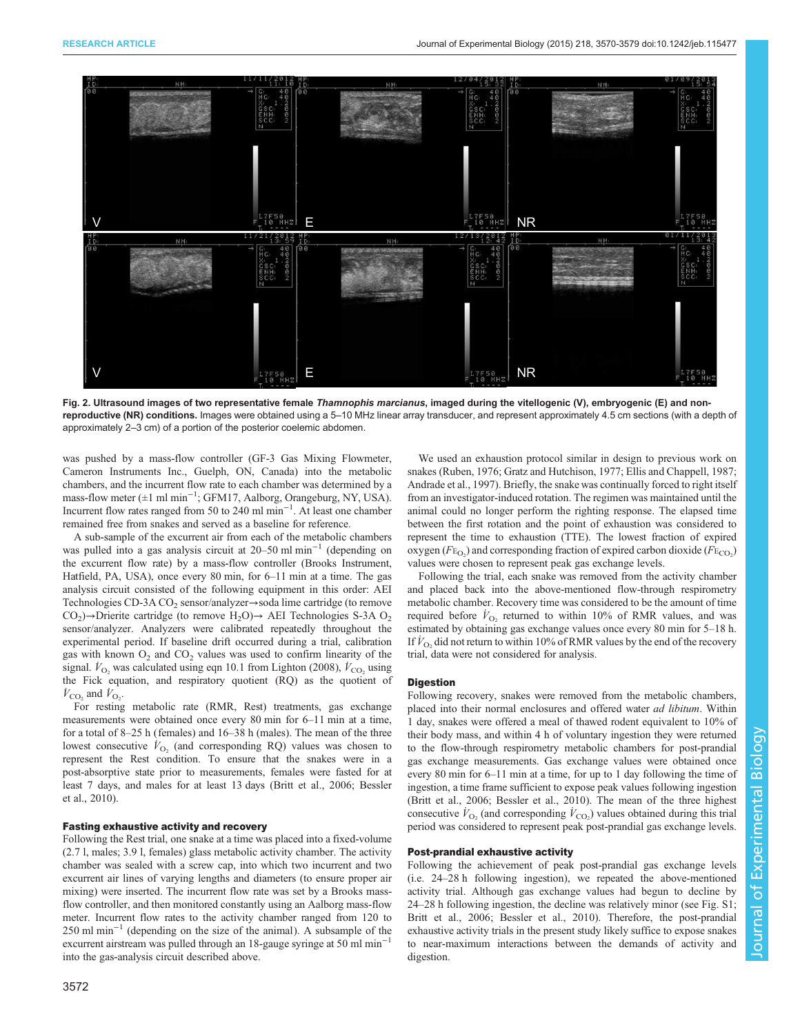<span id="page-2-0"></span>

Fig. 2. Ultrasound images of two representative female Thamnophis marcianus, imaged during the vitellogenic (V), embryogenic (E) and nonreproductive (NR) conditions. Images were obtained using a 5–10 MHz linear array transducer, and represent approximately 4.5 cm sections (with a depth of approximately 2–3 cm) of a portion of the posterior coelemic abdomen.

was pushed by a mass-flow controller (GF-3 Gas Mixing Flowmeter, Cameron Instruments Inc., Guelph, ON, Canada) into the metabolic chambers, and the incurrent flow rate to each chamber was determined by a mass-flow meter (±1 ml min−<sup>1</sup> ; GFM17, Aalborg, Orangeburg, NY, USA). Incurrent flow rates ranged from 50 to 240 ml min−<sup>1</sup> . At least one chamber remained free from snakes and served as a baseline for reference.

A sub-sample of the excurrent air from each of the metabolic chambers was pulled into a gas analysis circuit at 20–50 ml min−<sup>1</sup> (depending on the excurrent flow rate) by a mass-flow controller (Brooks Instrument, Hatfield, PA, USA), once every 80 min, for 6–11 min at a time. The gas analysis circuit consisted of the following equipment in this order: AEI Technologies CD-3A CO<sub>2</sub> sensor/analyzer→soda lime cartridge (to remove  $CO<sub>2</sub>$ )→Drierite cartridge (to remove H<sub>2</sub>O)→ AEI Technologies S-3A O<sub>2</sub> sensor/analyzer. Analyzers were calibrated repeatedly throughout the experimental period. If baseline drift occurred during a trial, calibration gas with known  $O_2$  and  $CO_2$  values was used to confirm linearity of the signal.  $\dot{V}_{\text{O}_2}$  was calculated using eqn 10.1 from [Lighton \(2008\)](#page-8-0),  $\dot{V}_{\text{CO}_2}$  using the Fick equation, and respiratory quotient (RQ) as the quotient of  $\dot{V}_{\text{CO}_2}$  and  $\dot{V}_{\text{O}_2}$ .

For resting metabolic rate (RMR, Rest) treatments, gas exchange measurements were obtained once every 80 min for 6–11 min at a time, for a total of 8–25 h (females) and 16–38 h (males). The mean of the three lowest consecutive  $\dot{V}_{\text{O}_2}$  (and corresponding RQ) values was chosen to represent the Rest condition. To ensure that the snakes were in a post-absorptive state prior to measurements, females were fasted for at least 7 days, and males for at least 13 days [\(Britt et al., 2006](#page-8-0); [Bessler](#page-7-0) [et al., 2010](#page-7-0)).

#### Fasting exhaustive activity and recovery

Following the Rest trial, one snake at a time was placed into a fixed-volume (2.7 l, males; 3.9 l, females) glass metabolic activity chamber. The activity chamber was sealed with a screw cap, into which two incurrent and two excurrent air lines of varying lengths and diameters (to ensure proper air mixing) were inserted. The incurrent flow rate was set by a Brooks massflow controller, and then monitored constantly using an Aalborg mass-flow meter. Incurrent flow rates to the activity chamber ranged from 120 to 250 ml min−<sup>1</sup> (depending on the size of the animal). A subsample of the excurrent airstream was pulled through an 18-gauge syringe at 50 ml min−<sup>1</sup> into the gas-analysis circuit described above.

We used an exhaustion protocol similar in design to previous work on snakes ([Ruben, 1976; Gratz and Hutchison, 1977](#page-8-0); [Ellis and Chappell, 1987;](#page-8-0) [Andrade et al., 1997\)](#page-7-0). Briefly, the snake was continually forced to right itself from an investigator-induced rotation. The regimen was maintained until the animal could no longer perform the righting response. The elapsed time between the first rotation and the point of exhaustion was considered to represent the time to exhaustion (TTE). The lowest fraction of expired oxygen ( $F_{\text{E}_{\text{O}_2}}$ ) and corresponding fraction of expired carbon dioxide ( $F_{\text{E}_{\text{CO}_2}}$ ) values were chosen to represent peak gas exchange levels.

Following the trial, each snake was removed from the activity chamber and placed back into the above-mentioned flow-through respirometry metabolic chamber. Recovery time was considered to be the amount of time required before  $\dot{V}_{\text{O}_2}$  returned to within 10% of RMR values, and was estimated by obtaining gas exchange values once every 80 min for 5–18 h. If  $\dot{V}_{\text{O}_2}$  did not return to within 10% of RMR values by the end of the recovery trial, data were not considered for analysis.

#### Digestion

Following recovery, snakes were removed from the metabolic chambers, placed into their normal enclosures and offered water ad libitum. Within 1 day, snakes were offered a meal of thawed rodent equivalent to 10% of their body mass, and within 4 h of voluntary ingestion they were returned to the flow-through respirometry metabolic chambers for post-prandial gas exchange measurements. Gas exchange values were obtained once every 80 min for 6–11 min at a time, for up to 1 day following the time of ingestion, a time frame sufficient to expose peak values following ingestion ([Britt et al., 2006](#page-8-0); [Bessler et al., 2010](#page-7-0)). The mean of the three highest consecutive  $\dot{V}_{\text{O}_2}$  (and corresponding  $\dot{V}_{\text{CO}_2}$ ) values obtained during this trial period was considered to represent peak post-prandial gas exchange levels.

## Post-prandial exhaustive activity

Following the achievement of peak post-prandial gas exchange levels (i.e. 24–28 h following ingestion), we repeated the above-mentioned activity trial. Although gas exchange values had begun to decline by 24–28 h following ingestion, the decline was relatively minor (see [Fig. S1;](http://jeb.biologists.org/lookup/suppl/doi:10.1242/jeb.115477/-/DC1) [Britt et al., 2006](#page-8-0); [Bessler et al., 2010](#page-7-0)). Therefore, the post-prandial exhaustive activity trials in the present study likely suffice to expose snakes to near-maximum interactions between the demands of activity and digestion.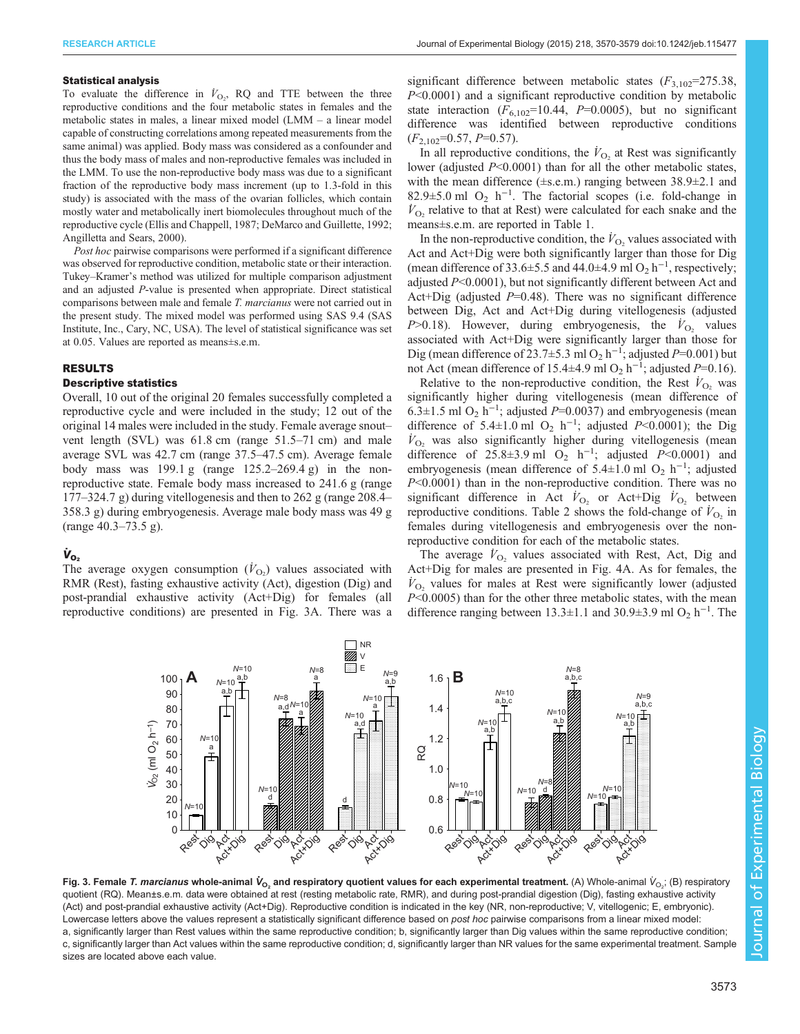#### <span id="page-3-0"></span>Statistical analysis

To evaluate the difference in  $\dot{V}_{\text{O}_2}$ , RQ and TTE between the three reproductive conditions and the four metabolic states in females and the metabolic states in males, a linear mixed model (LMM – a linear model capable of constructing correlations among repeated measurements from the same animal) was applied. Body mass was considered as a confounder and thus the body mass of males and non-reproductive females was included in the LMM. To use the non-reproductive body mass was due to a significant fraction of the reproductive body mass increment (up to 1.3-fold in this study) is associated with the mass of the ovarian follicles, which contain mostly water and metabolically inert biomolecules throughout much of the reproductive cycle ([Ellis and Chappell, 1987](#page-8-0); [DeMarco and Guillette, 1992;](#page-8-0) [Angilletta and Sears, 2000](#page-7-0)).

Post hoc pairwise comparisons were performed if a significant difference was observed for reproductive condition, metabolic state or their interaction. Tukey–Kramer's method was utilized for multiple comparison adjustment and an adjusted P-value is presented when appropriate. Direct statistical comparisons between male and female T. marcianus were not carried out in the present study. The mixed model was performed using SAS 9.4 (SAS Institute, Inc., Cary, NC, USA). The level of statistical significance was set at 0.05. Values are reported as means±s.e.m.

## RESULTS

#### Descriptive statistics

Overall, 10 out of the original 20 females successfully completed a reproductive cycle and were included in the study; 12 out of the original 14 males were included in the study. Female average snout– vent length (SVL) was 61.8 cm (range 51.5–71 cm) and male average SVL was 42.7 cm (range 37.5–47.5 cm). Average female body mass was  $199.1 \text{ g}$  (range  $125.2-269.4 \text{ g}$ ) in the nonreproductive state. Female body mass increased to 241.6 g (range 177–324.7 g) during vitellogenesis and then to 262 g (range 208.4– 358.3 g) during embryogenesis. Average male body mass was 49 g (range 40.3–73.5 g).

# $\dot{\mathsf{V}}_{\mathsf{O}_2}$

The average oxygen consumption  $(V<sub>O2</sub>)$  values associated with RMR (Rest), fasting exhaustive activity (Act), digestion (Dig) and post-prandial exhaustive activity (Act+Dig) for females (all reproductive conditions) are presented in Fig. 3A. There was a

significant difference between metabolic states  $(F_{3,102}=275.38,$ P<0.0001) and a significant reproductive condition by metabolic state interaction  $(F_{6,102}=10.44, P=0.0005)$ , but no significant difference was identified between reproductive conditions  $(F_{2,102}=0.57, P=0.57).$ 

In all reproductive conditions, the  $\dot{V}_{\text{O}_2}$  at Rest was significantly lower (adjusted  $P<0.0001$ ) than for all the other metabolic states, with the mean difference  $(\pm s.e.m.)$  ranging between  $38.9\pm2.1$  and 82.9 $\pm$ 5.0 ml O<sub>2</sub> h<sup>-1</sup>. The factorial scopes (i.e. fold-change in  $\dot{V}_{\text{O}_2}$  relative to that at Rest) were calculated for each snake and the means±s.e.m. are reported in [Table 1.](#page-4-0)

In the non-reproductive condition, the  $\dot{V}_{\text{O}_2}$  values associated with Act and Act+Dig were both significantly larger than those for Dig (mean difference of 33.6±5.5 and 44.0±4.9 ml O<sub>2</sub> h<sup>-1</sup>, respectively; adjusted P<0.0001), but not significantly different between Act and Act+Dig (adjusted  $P=0.48$ ). There was no significant difference between Dig, Act and Act+Dig during vitellogenesis (adjusted P > 0.18). However, during embryogenesis, the  $\dot{V}_{\text{O}_2}$  values associated with Act+Dig were significantly larger than those for Dig (mean difference of 23.7 $\pm$ 5.3 ml O<sub>2</sub> h<sup>-1</sup>; adjusted P=0.001) but not Act (mean difference of 15.4 $\pm$ 4.9 ml O<sub>2</sub> h<sup>-1</sup>; adjusted P=0.16).

Relative to the non-reproductive condition, the Rest  $V_{\text{O}_2}$  was significantly higher during vitellogenesis (mean difference of 6.3±1.5 ml O<sub>2</sub> h<sup>-1</sup>; adjusted P=0.0037) and embryogenesis (mean difference of 5.4±1.0 ml O<sub>2</sub> h<sup>-1</sup>; adjusted P<0.0001); the Dig  $V_{\text{O}_2}$  was also significantly higher during vitellogenesis (mean difference of 25.8±3.9 ml O<sub>2</sub> h<sup>-1</sup>; adjusted P<0.0001) and embryogenesis (mean difference of 5.4±1.0 ml O<sub>2</sub> h<sup>-1</sup>; adjusted  $P<0.0001$ ) than in the non-reproductive condition. There was no significant difference in Act  $\dot{V}_{\text{O}_2}$  or Act+Dig  $\dot{V}_{\text{O}_2}$  between reproductive conditions. [Table 2](#page-4-0) shows the fold-change of  $\dot{V}_{\text{O}_2}$  in females during vitellogenesis and embryogenesis over the nonreproductive condition for each of the metabolic states.

The average  $\dot{V}_{\text{O}_2}$  values associated with Rest, Act, Dig and Act+Dig for males are presented in [Fig. 4](#page-5-0)A. As for females, the  $V_{\text{O}_2}$  values for males at Rest were significantly lower (adjusted P<0.0005) than for the other three metabolic states, with the mean difference ranging between 13.3±1.1 and 30.9±3.9 ml O<sub>2</sub> h<sup>-1</sup>. The



Fig. 3. Female *T. marcianus* whole-animal  $\dot{\bm{V}}_{\sf O_2}$  and respiratory quotient values for each experimental treatment. (A) Whole-animal  $\dot{\bm{V}}_{\sf O_2}$ ; (B) respiratory quotient (RQ). Mean±s.e.m. data were obtained at rest (resting metabolic rate, RMR), and during post-prandial digestion (Dig), fasting exhaustive activity (Act) and post-prandial exhaustive activity (Act+Dig). Reproductive condition is indicated in the key (NR, non-reproductive; V, vitellogenic; E, embryonic). Lowercase letters above the values represent a statistically significant difference based on post hoc pairwise comparisons from a linear mixed model: a, significantly larger than Rest values within the same reproductive condition; b, significantly larger than Dig values within the same reproductive condition; c, significantly larger than Act values within the same reproductive condition; d, significantly larger than NR values for the same experimental treatment. Sample sizes are located above each value.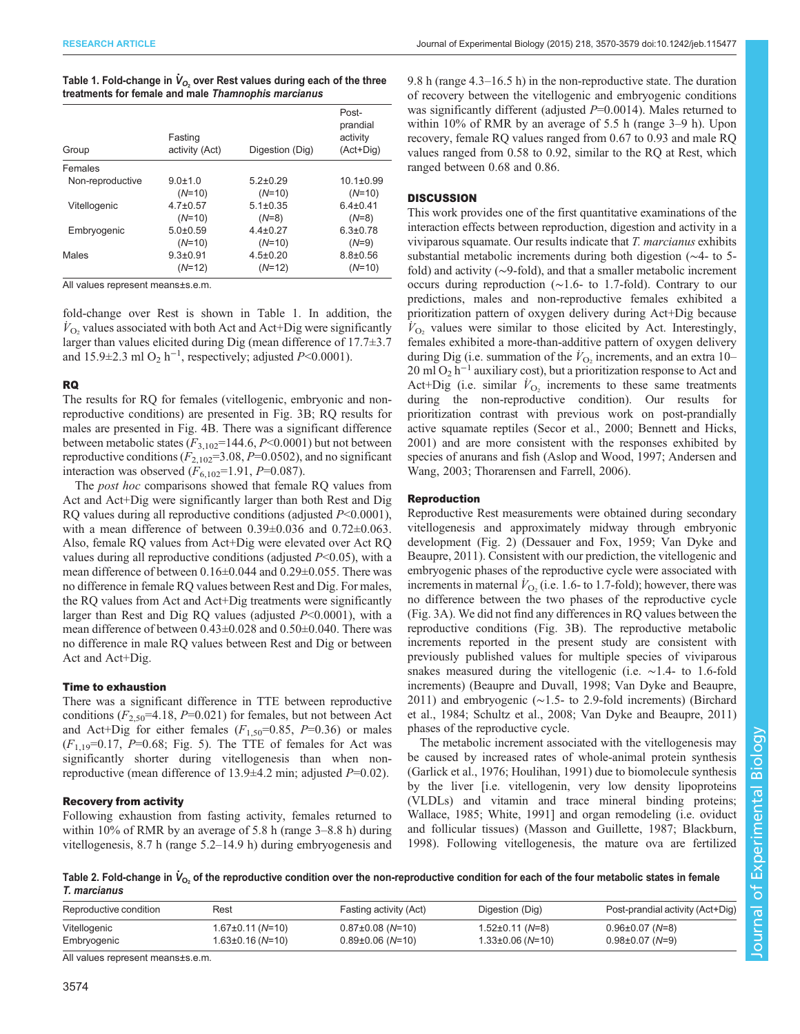<span id="page-4-0"></span>

| Table 1. Fold-change in $V_{O_2}$ over Rest values during each of the three |  |  |
|-----------------------------------------------------------------------------|--|--|
| treatments for female and male Thamnophis marcianus                         |  |  |

| Group            | Fasting<br>activity (Act) | Digestion (Dig) | Post-<br>prandial<br>activity<br>(Act+Dig) |
|------------------|---------------------------|-----------------|--------------------------------------------|
| Females          |                           |                 |                                            |
| Non-reproductive | $9.0 \pm 1.0$             | $5.2 \pm 0.29$  | $10.1 \pm 0.99$                            |
|                  | $(N=10)$                  | $(N=10)$        | $(N=10)$                                   |
| Vitellogenic     | $4.7 \pm 0.57$            | $5.1 \pm 0.35$  | $6.4 \pm 0.41$                             |
|                  | $(N=10)$                  | $(N=8)$         | $(N=8)$                                    |
| Embryogenic      | $5.0+0.59$                | $4.4 \pm 0.27$  | $6.3 \pm 0.78$                             |
|                  | $(N=10)$                  | $(N=10)$        | $(N=9)$                                    |
| Males            | $9.3 \pm 0.91$            | $4.5 \pm 0.20$  | $8.8 \pm 0.56$                             |
|                  | $(N=12)$                  | $(N=12)$        | $(N=10)$                                   |

All values represent means±s.e.m.

fold-change over Rest is shown in Table 1. In addition, the  $V_{\text{O}_2}$  values associated with both Act and Act+Dig were significantly larger than values elicited during Dig (mean difference of 17.7±3.7 and 15.9 $\pm$ 2.3 ml O<sub>2</sub> h<sup>-1</sup>, respectively; adjusted P<0.0001).

## RQ

The results for RQ for females (vitellogenic, embryonic and nonreproductive conditions) are presented in [Fig. 3](#page-3-0)B; RQ results for males are presented in [Fig. 4B](#page-5-0). There was a significant difference between metabolic states  $(F_{3,102}=144.6, P<0.0001)$  but not between reproductive conditions  $(F_{2,102}=3.08, P=0.0502)$ , and no significant interaction was observed  $(F_{6,102}=1.91, P=0.087)$ .

The *post hoc* comparisons showed that female RQ values from Act and Act+Dig were significantly larger than both Rest and Dig RQ values during all reproductive conditions (adjusted  $P<0.0001$ ), with a mean difference of between 0.39±0.036 and 0.72±0.063. Also, female RQ values from Act+Dig were elevated over Act RQ values during all reproductive conditions (adjusted  $P<0.05$ ), with a mean difference of between 0.16±0.044 and 0.29±0.055. There was no difference in female RQ values between Rest and Dig. For males, the RQ values from Act and Act+Dig treatments were significantly larger than Rest and Dig RQ values (adjusted  $P<0.0001$ ), with a mean difference of between 0.43±0.028 and 0.50±0.040. There was no difference in male RQ values between Rest and Dig or between Act and Act+Dig.

# Time to exhaustion

There was a significant difference in TTE between reproductive conditions  $(F_{2,50} = 4.18, P = 0.021)$  for females, but not between Act and Act+Dig for either females  $(F_{1,50}=0.85, P=0.36)$  or males  $(F_{1,19}=0.17, P=0.68;$  [Fig. 5\)](#page-5-0). The TTE of females for Act was significantly shorter during vitellogenesis than when nonreproductive (mean difference of 13.9±4.2 min; adjusted P=0.02).

# Recovery from activity

Following exhaustion from fasting activity, females returned to within 10% of RMR by an average of 5.8 h (range 3–8.8 h) during vitellogenesis, 8.7 h (range 5.2–14.9 h) during embryogenesis and

9.8 h (range 4.3–16.5 h) in the non-reproductive state. The duration of recovery between the vitellogenic and embryogenic conditions was significantly different (adjusted  $P=0.0014$ ). Males returned to within 10% of RMR by an average of 5.5 h (range 3–9 h). Upon recovery, female RQ values ranged from 0.67 to 0.93 and male RQ values ranged from 0.58 to 0.92, similar to the RQ at Rest, which ranged between 0.68 and 0.86.

# **DISCUSSION**

This work provides one of the first quantitative examinations of the interaction effects between reproduction, digestion and activity in a viviparous squamate. Our results indicate that T. marcianus exhibits substantial metabolic increments during both digestion (∼4- to 5 fold) and activity (∼9-fold), and that a smaller metabolic increment occurs during reproduction (∼1.6- to 1.7-fold). Contrary to our predictions, males and non-reproductive females exhibited a prioritization pattern of oxygen delivery during Act+Dig because  $V_{\text{O}_2}$  values were similar to those elicited by Act. Interestingly, females exhibited a more-than-additive pattern of oxygen delivery during Dig (i.e. summation of the  $\dot{V}_{\text{O}_2}$  increments, and an extra 10– 20 ml O<sub>2</sub> h<sup>-1</sup> auxiliary cost), but a prioritization response to Act and Act+Dig (i.e. similar  $\dot{V}_{\text{O}_2}$  increments to these same treatments during the non-reproductive condition). Our results for prioritization contrast with previous work on post-prandially active squamate reptiles ([Secor et al., 2000](#page-8-0); [Bennett and Hicks,](#page-7-0) [2001\)](#page-7-0) and are more consistent with the responses exhibited by species of anurans and fish [\(Aslop and Wood, 1997; Andersen and](#page-7-0) [Wang, 2003](#page-7-0); [Thorarensen and Farrell, 2006\)](#page-8-0).

# Reproduction

Reproductive Rest measurements were obtained during secondary vitellogenesis and approximately midway through embryonic development [\(Fig. 2](#page-2-0)) ([Dessauer and Fox, 1959](#page-8-0); [Van Dyke and](#page-8-0) [Beaupre, 2011\)](#page-8-0). Consistent with our prediction, the vitellogenic and embryogenic phases of the reproductive cycle were associated with increments in maternal  $V_{\text{O}_2}$  (i.e. 1.6- to 1.7-fold); however, there was no difference between the two phases of the reproductive cycle [\(Fig. 3A](#page-3-0)). We did not find any differences in RQ values between the reproductive conditions [\(Fig. 3](#page-3-0)B). The reproductive metabolic increments reported in the present study are consistent with previously published values for multiple species of viviparous snakes measured during the vitellogenic (i.e. ∼1.4- to 1.6-fold increments) ([Beaupre and Duvall, 1998;](#page-7-0) [Van Dyke and Beaupre,](#page-8-0) [2011\)](#page-8-0) and embryogenic (∼1.5- to 2.9-fold increments) [\(Birchard](#page-7-0) [et al., 1984](#page-7-0); [Schultz et al., 2008; Van Dyke and Beaupre, 2011\)](#page-8-0) phases of the reproductive cycle.

The metabolic increment associated with the vitellogenesis may be caused by increased rates of whole-animal protein synthesis [\(Garlick et al., 1976; Houlihan, 1991](#page-8-0)) due to biomolecule synthesis by the liver [i.e. vitellogenin, very low density lipoproteins (VLDLs) and vitamin and trace mineral binding proteins; [Wallace, 1985](#page-9-0); [White, 1991\]](#page-9-0) and organ remodeling (i.e. oviduct and follicular tissues) ([Masson and Guillette, 1987](#page-8-0); [Blackburn,](#page-8-0) [1998\)](#page-8-0). Following vitellogenesis, the mature ova are fertilized

Table 2. Fold-change in  $\dot{\mathsf{V}}_{\mathsf{O}_2}$  of the reproductive condition over the non-reproductive condition for each of the four metabolic states in female T. marcianus

| Reproductive condition | Rest                   | Fasting activity (Act) | Digestion (Dig)      | Post-prandial activity (Act+Dig) |
|------------------------|------------------------|------------------------|----------------------|----------------------------------|
| Vitellogenic           | $1.67 \pm 0.11$ (N=10) | $0.87\pm0.08$ (N=10)   | 1.52±0.11 (N=8)      | $0.96 \pm 0.07$ (N=8)            |
| Embryogenic            | $1.63 \pm 0.16$ (N=10) | $0.89\pm0.06$ (N=10)   | $1.33\pm0.06$ (N=10) | $0.98 \pm 0.07$ (N=9)            |

All values represent means±s.e.m.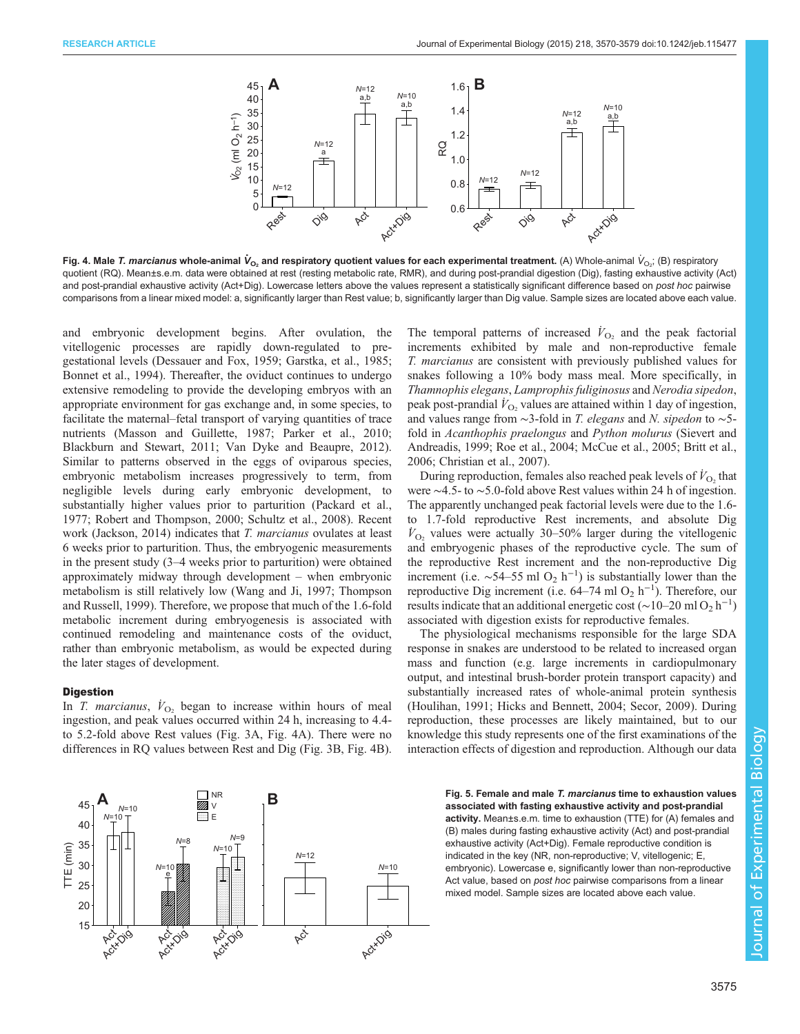<span id="page-5-0"></span>

Fig. 4. Male *T. marcianus* whole-animal  $\dot{V}_{\rm O_2}$  and respiratory quotient values for each experimental treatment. (A) Whole-animal  $\dot{V}_{\rm O_2}$ ; (B) respiratory quotient (RQ). Mean±s.e.m. data were obtained at rest (resting metabolic rate, RMR), and during post-prandial digestion (Dig), fasting exhaustive activity (Act) and post-prandial exhaustive activity (Act+Dig). Lowercase letters above the values represent a statistically significant difference based on post hoc pairwise comparisons from a linear mixed model: a, significantly larger than Rest value; b, significantly larger than Dig value. Sample sizes are located above each value.

and embryonic development begins. After ovulation, the vitellogenic processes are rapidly down-regulated to pregestational levels ([Dessauer and Fox, 1959](#page-8-0); [Garstka, et al., 1985](#page-8-0); [Bonnet et al., 1994\)](#page-8-0). Thereafter, the oviduct continues to undergo extensive remodeling to provide the developing embryos with an appropriate environment for gas exchange and, in some species, to facilitate the maternal–fetal transport of varying quantities of trace nutrients ([Masson and Guillette, 1987](#page-8-0); [Parker et al., 2010](#page-8-0); [Blackburn and Stewart, 2011](#page-8-0); [Van Dyke and Beaupre, 2012\)](#page-9-0). Similar to patterns observed in the eggs of oviparous species, embryonic metabolism increases progressively to term, from negligible levels during early embryonic development, to substantially higher values prior to parturition ([Packard et al.,](#page-8-0) [1977](#page-8-0); [Robert and Thompson, 2000; Schultz et al., 2008](#page-8-0)). Recent work [\(Jackson, 2014\)](#page-8-0) indicates that T. marcianus ovulates at least 6 weeks prior to parturition. Thus, the embryogenic measurements in the present study (3–4 weeks prior to parturition) were obtained approximately midway through development – when embryonic metabolism is still relatively low [\(Wang and Ji, 1997;](#page-9-0) [Thompson](#page-8-0) [and Russell, 1999\)](#page-8-0). Therefore, we propose that much of the 1.6-fold metabolic increment during embryogenesis is associated with continued remodeling and maintenance costs of the oviduct, rather than embryonic metabolism, as would be expected during the later stages of development.

#### Digestion

In *T. marcianus*,  $\dot{V}_{\text{O}_2}$  began to increase within hours of meal ingestion, and peak values occurred within 24 h, increasing to 4.4 to 5.2-fold above Rest values ([Fig. 3](#page-3-0)A, Fig. 4A). There were no differences in RQ values between Rest and Dig ([Fig. 3B](#page-3-0), Fig. 4B).

The temporal patterns of increased  $\dot{V}_{\text{O}_2}$  and the peak factorial increments exhibited by male and non-reproductive female T. marcianus are consistent with previously published values for snakes following a 10% body mass meal. More specifically, in Thamnophis elegans, Lamprophis fuliginosus and Nerodia sipedon, peak post-prandial  $\dot{V}_{\text{O}_2}$  values are attained within 1 day of ingestion, and values range from ∼3-fold in T. elegans and N. sipedon to ∼5 fold in Acanthophis praelongus and Python molurus ([Sievert and](#page-8-0) [Andreadis, 1999; Roe et al., 2004; McCue et al., 2005](#page-8-0); [Britt et al.,](#page-8-0) [2006; Christian et al., 2007\)](#page-8-0).

During reproduction, females also reached peak levels of  $\dot{V}_{\text{O}_2}$  that were ∼4.5- to ∼5.0-fold above Rest values within 24 h of ingestion. The apparently unchanged peak factorial levels were due to the 1.6 to 1.7-fold reproductive Rest increments, and absolute Dig  $V_{\text{O}_2}$  values were actually 30–50% larger during the vitellogenic and embryogenic phases of the reproductive cycle. The sum of the reproductive Rest increment and the non-reproductive Dig increment (i.e.  $\sim$ 54–55 ml O<sub>2</sub> h<sup>-1</sup>) is substantially lower than the reproductive Dig increment (i.e.  $64-74$  ml O<sub>2</sub> h<sup>-1</sup>). Therefore, our results indicate that an additional energetic cost (~10–20 ml O<sub>2</sub> h<sup>-1</sup>) associated with digestion exists for reproductive females.

The physiological mechanisms responsible for the large SDA response in snakes are understood to be related to increased organ mass and function (e.g. large increments in cardiopulmonary output, and intestinal brush-border protein transport capacity) and substantially increased rates of whole-animal protein synthesis [\(Houlihan, 1991; Hicks and Bennett, 2004; Secor, 2009\)](#page-8-0). During reproduction, these processes are likely maintained, but to our knowledge this study represents one of the first examinations of the interaction effects of digestion and reproduction. Although our data



Fig. 5. Female and male T. marcianus time to exhaustion values associated with fasting exhaustive activity and post-prandial activity. Mean±s.e.m. time to exhaustion (TTE) for (A) females and (B) males during fasting exhaustive activity (Act) and post-prandial exhaustive activity (Act+Dig). Female reproductive condition is indicated in the key (NR, non-reproductive; V, vitellogenic; E, embryonic). Lowercase e, significantly lower than non-reproductive Act value, based on post hoc pairwise comparisons from a linear mixed model. Sample sizes are located above each value.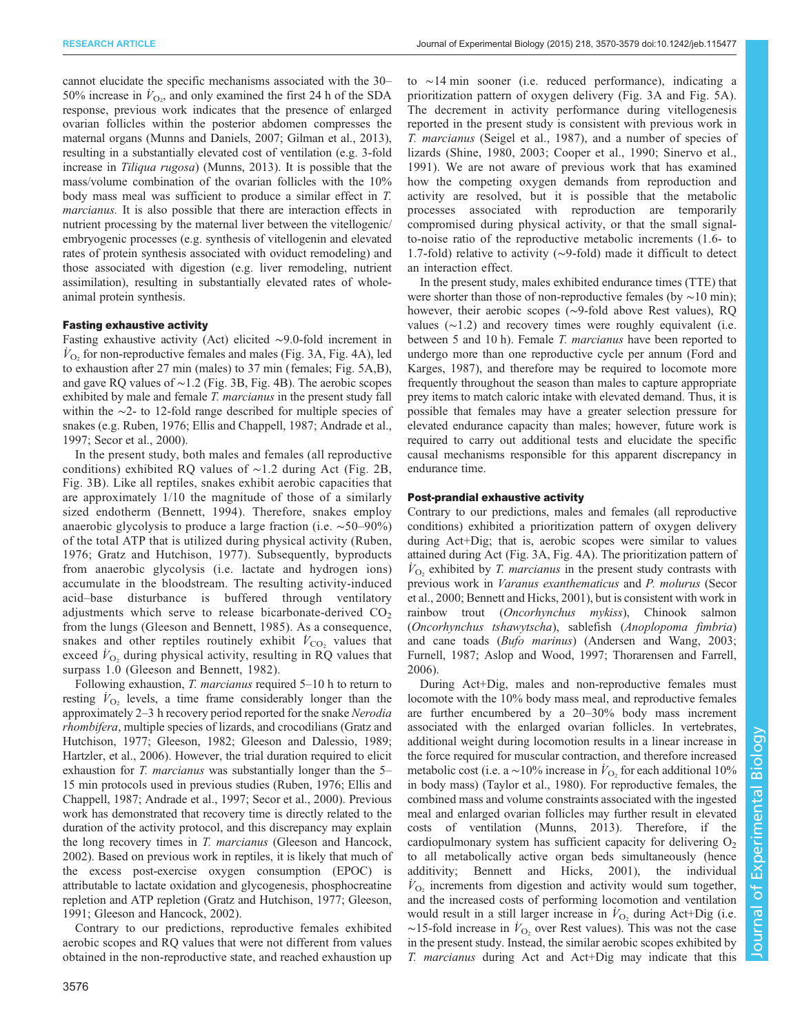cannot elucidate the specific mechanisms associated with the 30– 50% increase in  $V_{\text{O}_2}$ , and only examined the first 24 h of the SDA response, previous work indicates that the presence of enlarged ovarian follicles within the posterior abdomen compresses the maternal organs ([Munns and Daniels, 2007](#page-8-0); [Gilman et al., 2013\)](#page-8-0), resulting in a substantially elevated cost of ventilation (e.g. 3-fold increase in Tiliqua rugosa) ([Munns, 2013\)](#page-8-0). It is possible that the mass/volume combination of the ovarian follicles with the 10% body mass meal was sufficient to produce a similar effect in T. marcianus. It is also possible that there are interaction effects in nutrient processing by the maternal liver between the vitellogenic/ embryogenic processes (e.g. synthesis of vitellogenin and elevated rates of protein synthesis associated with oviduct remodeling) and those associated with digestion (e.g. liver remodeling, nutrient assimilation), resulting in substantially elevated rates of wholeanimal protein synthesis.

# Fasting exhaustive activity

Fasting exhaustive activity (Act) elicited ∼9.0-fold increment in  $V_{\text{O}_2}$  for non-reproductive females and males [\(Fig. 3](#page-3-0)A, [Fig. 4A](#page-5-0)), led to exhaustion after 27 min (males) to 37 min (females; [Fig. 5A](#page-5-0),B), and gave RQ values of ∼1.2 [\(Fig. 3](#page-3-0)B, [Fig. 4](#page-5-0)B). The aerobic scopes exhibited by male and female *T. marcianus* in the present study fall within the ∼2- to 12-fold range described for multiple species of snakes (e.g. [Ruben, 1976; Ellis and Chappell, 1987](#page-8-0); [Andrade et al.,](#page-7-0) [1997](#page-7-0); [Secor et al., 2000\)](#page-8-0).

In the present study, both males and females (all reproductive conditions) exhibited RQ values of ∼1.2 during Act ([Fig. 2](#page-2-0)B, [Fig. 3](#page-3-0)B). Like all reptiles, snakes exhibit aerobic capacities that are approximately 1/10 the magnitude of those of a similarly sized endotherm ([Bennett, 1994](#page-7-0)). Therefore, snakes employ anaerobic glycolysis to produce a large fraction (i.e. ∼50–90%) of the total ATP that is utilized during physical activity ([Ruben,](#page-8-0) [1976; Gratz and Hutchison, 1977](#page-8-0)). Subsequently, byproducts from anaerobic glycolysis (i.e. lactate and hydrogen ions) accumulate in the bloodstream. The resulting activity-induced acid–base disturbance is buffered through ventilatory adjustments which serve to release bicarbonate-derived  $CO<sub>2</sub>$ from the lungs [\(Gleeson and Bennett, 1985\)](#page-8-0). As a consequence, snakes and other reptiles routinely exhibit  $\dot{V}_{\text{CO}_2}$  values that exceed  $V_{\text{O}_2}$  during physical activity, resulting in RQ values that surpass 1.0 ([Gleeson and Bennett, 1982](#page-8-0)).

Following exhaustion, T. marcianus required 5–10 h to return to resting  $\dot{V}_{\text{O}_2}$  levels, a time frame considerably longer than the approximately 2–3 h recovery period reported for the snake Nerodia rhombifera, multiple species of lizards, and crocodilians ([Gratz and](#page-8-0) [Hutchison, 1977; Gleeson, 1982](#page-8-0); [Gleeson and Dalessio, 1989](#page-8-0); [Hartzler, et al., 2006\)](#page-8-0). However, the trial duration required to elicit exhaustion for T. *marcianus* was substantially longer than the 5– 15 min protocols used in previous studies [\(Ruben, 1976](#page-8-0); [Ellis and](#page-8-0) [Chappell, 1987;](#page-8-0) [Andrade et al., 1997](#page-7-0); [Secor et al., 2000](#page-8-0)). Previous work has demonstrated that recovery time is directly related to the duration of the activity protocol, and this discrepancy may explain the long recovery times in T. marcianus [\(Gleeson and Hancock,](#page-8-0) [2002](#page-8-0)). Based on previous work in reptiles, it is likely that much of the excess post-exercise oxygen consumption (EPOC) is attributable to lactate oxidation and glycogenesis, phosphocreatine repletion and ATP repletion [\(Gratz and Hutchison, 1977](#page-8-0); [Gleeson,](#page-8-0) [1991](#page-8-0); [Gleeson and Hancock, 2002\)](#page-8-0).

Contrary to our predictions, reproductive females exhibited aerobic scopes and RQ values that were not different from values obtained in the non-reproductive state, and reached exhaustion up to ∼14 min sooner (i.e. reduced performance), indicating a prioritization pattern of oxygen delivery ([Fig. 3](#page-3-0)A and [Fig. 5A](#page-5-0)). The decrement in activity performance during vitellogenesis reported in the present study is consistent with previous work in T. marcianus ([Seigel et al., 1987](#page-8-0)), and a number of species of lizards ([Shine, 1980, 2003; Cooper et al., 1990; Sinervo et al.,](#page-8-0) [1991](#page-8-0)). We are not aware of previous work that has examined how the competing oxygen demands from reproduction and activity are resolved, but it is possible that the metabolic processes associated with reproduction are temporarily compromised during physical activity, or that the small signalto-noise ratio of the reproductive metabolic increments (1.6- to 1.7-fold) relative to activity (∼9-fold) made it difficult to detect an interaction effect.

In the present study, males exhibited endurance times (TTE) that were shorter than those of non-reproductive females (by ∼10 min); however, their aerobic scopes (∼9-fold above Rest values), RQ values (∼1.2) and recovery times were roughly equivalent (i.e. between 5 and 10 h). Female T. marcianus have been reported to undergo more than one reproductive cycle per annum ([Ford and](#page-8-0) [Karges, 1987\)](#page-8-0), and therefore may be required to locomote more frequently throughout the season than males to capture appropriate prey items to match caloric intake with elevated demand. Thus, it is possible that females may have a greater selection pressure for elevated endurance capacity than males; however, future work is required to carry out additional tests and elucidate the specific causal mechanisms responsible for this apparent discrepancy in endurance time.

# Post-prandial exhaustive activity

Contrary to our predictions, males and females (all reproductive conditions) exhibited a prioritization pattern of oxygen delivery during Act+Dig; that is, aerobic scopes were similar to values attained during Act [\(Fig. 3](#page-3-0)A, [Fig. 4A](#page-5-0)). The prioritization pattern of  $V_{\text{O}_2}$  exhibited by *T. marcianus* in the present study contrasts with previous work in Varanus exanthematicus and P. molurus ([Secor](#page-8-0) [et al., 2000;](#page-8-0) [Bennett and Hicks, 2001\)](#page-7-0), but is consistent with work in rainbow trout (Oncorhynchus mykiss), Chinook salmon (Oncorhynchus tshawytscha), sablefish (Anoplopoma fimbria) and cane toads (Bufo marinus) [\(Andersen and Wang, 2003](#page-7-0); [Furnell, 1987](#page-8-0); [Aslop and Wood, 1997;](#page-7-0) [Thorarensen and Farrell,](#page-8-0) [2006\)](#page-8-0).

During Act+Dig, males and non-reproductive females must locomote with the 10% body mass meal, and reproductive females are further encumbered by a 20–30% body mass increment associated with the enlarged ovarian follicles. In vertebrates, additional weight during locomotion results in a linear increase in the force required for muscular contraction, and therefore increased metabolic cost (i.e. a ~10% increase in  $\dot{V}_{\text{O}_2}$  for each additional 10% in body mass) ([Taylor et al., 1980](#page-8-0)). For reproductive females, the combined mass and volume constraints associated with the ingested meal and enlarged ovarian follicles may further result in elevated costs of ventilation ([Munns, 2013](#page-8-0)). Therefore, if the cardiopulmonary system has sufficient capacity for delivering  $O<sub>2</sub>$ to all metabolically active organ beds simultaneously (hence additivity; [Bennett and Hicks, 2001\)](#page-7-0), the individual  $V_{\text{O}_2}$  increments from digestion and activity would sum together, and the increased costs of performing locomotion and ventilation would result in a still larger increase in  $V_{\text{O}_2}$  during Act+Dig (i.e.  $\sim$ 15-fold increase in  $V_{\text{O}_2}$  over Rest values). This was not the case in the present study. Instead, the similar aerobic scopes exhibited by T. marcianus during Act and Act+Dig may indicate that this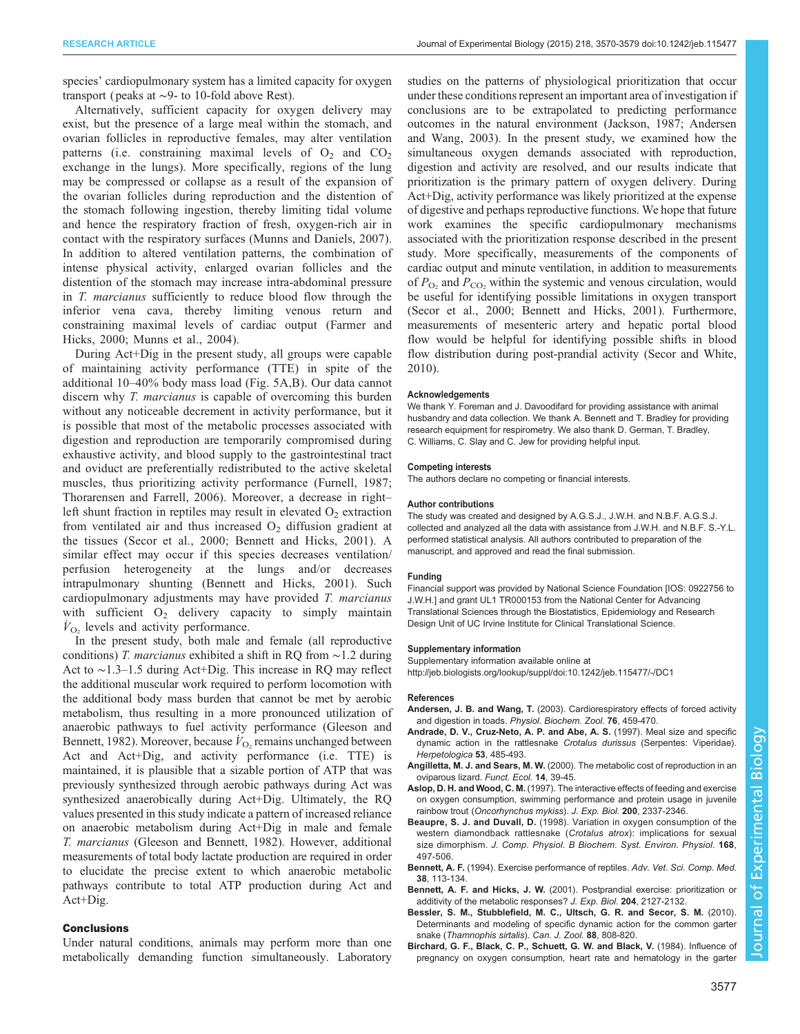<span id="page-7-0"></span>species' cardiopulmonary system has a limited capacity for oxygen transport ( peaks at ∼9- to 10-fold above Rest).

Alternatively, sufficient capacity for oxygen delivery may exist, but the presence of a large meal within the stomach, and ovarian follicles in reproductive females, may alter ventilation patterns (i.e. constraining maximal levels of  $O_2$  and  $CO_2$ exchange in the lungs). More specifically, regions of the lung may be compressed or collapse as a result of the expansion of the ovarian follicles during reproduction and the distention of the stomach following ingestion, thereby limiting tidal volume and hence the respiratory fraction of fresh, oxygen-rich air in contact with the respiratory surfaces ([Munns and Daniels, 2007](#page-8-0)). In addition to altered ventilation patterns, the combination of intense physical activity, enlarged ovarian follicles and the distention of the stomach may increase intra-abdominal pressure in T. marcianus sufficiently to reduce blood flow through the inferior vena cava, thereby limiting venous return and constraining maximal levels of cardiac output ([Farmer and](#page-8-0) [Hicks, 2000; Munns et al., 2004\)](#page-8-0).

During Act+Dig in the present study, all groups were capable of maintaining activity performance (TTE) in spite of the additional 10–40% body mass load ([Fig. 5](#page-5-0)A,B). Our data cannot discern why *T. marcianus* is capable of overcoming this burden without any noticeable decrement in activity performance, but it is possible that most of the metabolic processes associated with digestion and reproduction are temporarily compromised during exhaustive activity, and blood supply to the gastrointestinal tract and oviduct are preferentially redistributed to the active skeletal muscles, thus prioritizing activity performance [\(Furnell, 1987](#page-8-0); [Thorarensen and Farrell, 2006\)](#page-8-0). Moreover, a decrease in right– left shunt fraction in reptiles may result in elevated  $O_2$  extraction from ventilated air and thus increased  $O<sub>2</sub>$  diffusion gradient at the tissues [\(Secor et al., 2000;](#page-8-0) Bennett and Hicks, 2001). A similar effect may occur if this species decreases ventilation/ perfusion heterogeneity at the lungs and/or decreases intrapulmonary shunting (Bennett and Hicks, 2001). Such cardiopulmonary adjustments may have provided T. marcianus with sufficient  $O_2$  delivery capacity to simply maintain  $\dot{V}_{\text{O}_2}$  levels and activity performance.

In the present study, both male and female (all reproductive conditions) T. marcianus exhibited a shift in RQ from ∼1.2 during Act to ∼1.3–1.5 during Act+Dig. This increase in RQ may reflect the additional muscular work required to perform locomotion with the additional body mass burden that cannot be met by aerobic metabolism, thus resulting in a more pronounced utilization of anaerobic pathways to fuel activity performance [\(Gleeson and](#page-8-0) [Bennett, 1982](#page-8-0)). Moreover, because  $\dot{V}_{\text{O}_2}$  remains unchanged between Act and Act+Dig, and activity performance (i.e. TTE) is maintained, it is plausible that a sizable portion of ATP that was previously synthesized through aerobic pathways during Act was synthesized anaerobically during Act+Dig. Ultimately, the RQ values presented in this study indicate a pattern of increased reliance on anaerobic metabolism during Act+Dig in male and female T. marcianus ([Gleeson and Bennett, 1982\)](#page-8-0). However, additional measurements of total body lactate production are required in order to elucidate the precise extent to which anaerobic metabolic pathways contribute to total ATP production during Act and Act+Dig.

## Conclusions

Under natural conditions, animals may perform more than one metabolically demanding function simultaneously. Laboratory studies on the patterns of physiological prioritization that occur under these conditions represent an important area of investigation if conclusions are to be extrapolated to predicting performance outcomes in the natural environment [\(Jackson, 1987;](#page-8-0) Andersen and Wang, 2003). In the present study, we examined how the simultaneous oxygen demands associated with reproduction, digestion and activity are resolved, and our results indicate that prioritization is the primary pattern of oxygen delivery. During Act+Dig, activity performance was likely prioritized at the expense of digestive and perhaps reproductive functions. We hope that future work examines the specific cardiopulmonary mechanisms associated with the prioritization response described in the present study. More specifically, measurements of the components of cardiac output and minute ventilation, in addition to measurements of  $P_{\text{O}_2}$  and  $P_{\text{CO}_2}$  within the systemic and venous circulation, would be useful for identifying possible limitations in oxygen transport [\(Secor et al., 2000](#page-8-0); Bennett and Hicks, 2001). Furthermore, measurements of mesenteric artery and hepatic portal blood flow would be helpful for identifying possible shifts in blood flow distribution during post-prandial activity [\(Secor and White,](#page-8-0) [2010\)](#page-8-0).

#### **Acknowledgements**

We thank Y. Foreman and J. Davoodifard for providing assistance with animal husbandry and data collection. We thank A. Bennett and T. Bradley for providing research equipment for respirometry. We also thank D. German, T. Bradley, C. Williams, C. Slay and C. Jew for providing helpful input.

#### Competing interests

The authors declare no competing or financial interests.

#### Author contributions

The study was created and designed by A.G.S.J., J.W.H. and N.B.F. A.G.S.J. collected and analyzed all the data with assistance from J.W.H. and N.B.F. S.-Y.L. performed statistical analysis. All authors contributed to preparation of the manuscript, and approved and read the final submission.

#### Funding

Financial support was provided by National Science Foundation [IOS: 0922756 to J.W.H.] and grant UL1 TR000153 from the National Center for Advancing Translational Sciences through the Biostatistics, Epidemiology and Research Design Unit of UC Irvine Institute for Clinical Translational Science.

#### Supplementary information

Supplementary information available online at <http://jeb.biologists.org/lookup/suppl/doi:10.1242/jeb.115477/-/DC1>

#### References

- Andersen, J. B. and Wang, T. [\(2003\). Cardiorespiratory effects of forced activity](http://dx.doi.org/10.1086/375439) and digestion in toads. [Physiol. Biochem. Zool.](http://dx.doi.org/10.1086/375439) 76, 459-470.
- Andrade, D. V., Cruz-Neto, A. P. and Abe, A. S. (1997). Meal size and specific dynamic action in the rattlesnake Crotalus durissus (Serpentes: Viperidae). Herpetologica 53, 485-493.
- Angilletta, M. J. and Sears, M. W. [\(2000\). The metabolic cost of reproduction in an](http://dx.doi.org/10.1046/j.1365-2435.2000.00387.x) [oviparous lizard.](http://dx.doi.org/10.1046/j.1365-2435.2000.00387.x) Funct. Ecol. 14, 39-45.
- Aslop, D. H. and Wood, C. M. (1997). The interactive effects of feeding and exercise on oxygen consumption, swimming performance and protein usage in juvenile rainbow trout (Oncorhynchus mykiss). J. Exp. Biol. 200, 2337-2346.
- Beaupre, S. J. and Duvall, D. [\(1998\). Variation in oxygen consumption of the](http://dx.doi.org/10.1007/s003600050170) [western diamondback rattlesnake \(](http://dx.doi.org/10.1007/s003600050170)Crotalus atrox): implications for sexual size dimorphism. [J. Comp. Physiol. B Biochem. Syst. Environ. Physiol.](http://dx.doi.org/10.1007/s003600050170) 168, [497-506.](http://dx.doi.org/10.1007/s003600050170)
- Bennett, A. F. (1994). Exercise performance of reptiles. Adv. Vet. Sci. Comp. Med. 38, 113-134.
- Bennett, A. F. and Hicks, J. W. (2001). Postprandial exercise: prioritization or additivity of the metabolic responses? J. Exp. Biol. 204, 2127-2132.
- [Bessler, S. M., Stubblefield, M. C., Ultsch, G. R. and Secor, S. M.](http://dx.doi.org/10.1139/Z10-045) (2010). [Determinants and modeling of specific dynamic action for the common garter](http://dx.doi.org/10.1139/Z10-045) snake ([Thamnophis sirtalis](http://dx.doi.org/10.1139/Z10-045)). Can. J. Zool. 88, 808-820.
- [Birchard, G. F., Black, C. P., Schuett, G. W. and Black, V.](http://dx.doi.org/10.1016/0300-9629(84)90221-4) (1984). Influence of [pregnancy on oxygen consumption, heart rate and hematology in the garter](http://dx.doi.org/10.1016/0300-9629(84)90221-4)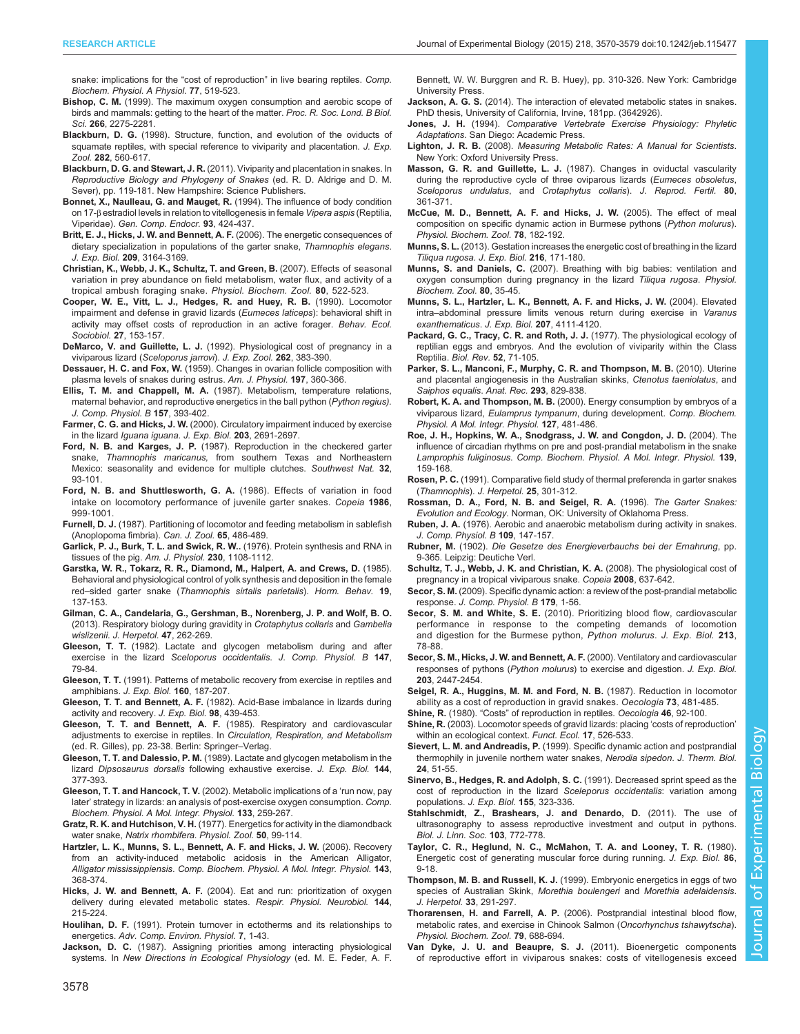<span id="page-8-0"></span>[snake: implications for the](http://dx.doi.org/10.1016/0300-9629(84)90221-4) "cost of reproduction" in live bearing reptiles. Comp. [Biochem. Physiol. A Physiol.](http://dx.doi.org/10.1016/0300-9629(84)90221-4) 77, 519-523.

- Bishop, C. M. [\(1999\). The maximum oxygen consumption and aerobic scope of](http://dx.doi.org/10.1098/rspb.1999.0919) [birds and mammals: getting to the heart of the matter.](http://dx.doi.org/10.1098/rspb.1999.0919) Proc. R. Soc. Lond. B Biol. Sci. 266[, 2275-2281.](http://dx.doi.org/10.1098/rspb.1999.0919)
- Blackburn, D. G. [\(1998\). Structure, function, and evolution of the oviducts of](http://dx.doi.org/10.1002/(SICI)1097-010X(199811/12)282:4/5<560::AID-JEZ10>3.0.CO;2-J) [squamate reptiles, with special reference to viviparity and placentation.](http://dx.doi.org/10.1002/(SICI)1097-010X(199811/12)282:4/5<560::AID-JEZ10>3.0.CO;2-J) J. Exp. Zool. 282[, 560-617.](http://dx.doi.org/10.1002/(SICI)1097-010X(199811/12)282:4/5<560::AID-JEZ10>3.0.CO;2-J)
- Blackburn, D. G. and Stewart, J. R. (2011). Viviparity and placentation in snakes. In Reproductive Biology and Phylogeny of Snakes (ed. R. D. Aldrige and D. M. Sever), pp. 119-181. New Hampshire: Science Publishers.
- [Bonnet, X., Naulleau, G. and Mauget, R.](http://dx.doi.org/10.1006/gcen.1994.1047) (1994). The influence of body condition on 17-β [estradiol levels in relation to vitellogenesis in female](http://dx.doi.org/10.1006/gcen.1994.1047) Vipera aspis (Reptilia, Viperidae). [Gen. Comp. Endocr.](http://dx.doi.org/10.1006/gcen.1994.1047) 93, 424-437.
- [Britt, E. J., Hicks, J. W. and Bennett, A. F.](http://dx.doi.org/10.1242/jeb.02366) (2006). The energetic consequences of [dietary specialization in populations of the garter snake,](http://dx.doi.org/10.1242/jeb.02366) Thamnophis elegans. J. Exp. Biol. 209[, 3164-3169.](http://dx.doi.org/10.1242/jeb.02366)
- [Christian, K., Webb, J. K., Schultz, T. and Green, B.](http://dx.doi.org/10.1086/519959) (2007). Effects of seasonal [variation in prey abundance on field metabolism, water flux, and activity of a](http://dx.doi.org/10.1086/519959) [tropical ambush foraging snake.](http://dx.doi.org/10.1086/519959) Physiol. Biochem. Zool. 80, 522-523.
- [Cooper, W. E., Vitt, L. J., Hedges, R. and Huey, R. B.](http://dx.doi.org/10.1007/BF00180298) (1990). Locomotor [impairment and defense in gravid lizards \(](http://dx.doi.org/10.1007/BF00180298)Eumeces laticeps): behavioral shift in [activity may offset costs of reproduction in an active forager.](http://dx.doi.org/10.1007/BF00180298) Behav. Ecol. Sociobiol. 27[, 153-157.](http://dx.doi.org/10.1007/BF00180298)
- DeMarco, V. and Guillette, L. J. [\(1992\). Physiological cost of pregnancy in a](http://dx.doi.org/10.1002/jez.1402620404) viviparous lizard ([Sceloporus jarrovi](http://dx.doi.org/10.1002/jez.1402620404)). J. Exp. Zool. 262, 383-390.
- Dessauer, H. C. and Fox, W. (1959). Changes in ovarian follicle composition with plasma levels of snakes during estrus. Am. J. Physiol. 197, 360-366.
- Ellis, T. M. and Chappell, M. A. [\(1987\). Metabolism, temperature relations,](http://dx.doi.org/10.1007/BF00693366) [maternal behavior, and reproductive energetics in the ball python \(](http://dx.doi.org/10.1007/BF00693366)Python regius). [J. Comp. Physiol. B](http://dx.doi.org/10.1007/BF00693366) 157, 393-402.
- Farmer, C. G. and Hicks, J. W. (2000). Circulatory impairment induced by exercise in the lizard *lguana iguana. J. Exp. Biol.* 203, 2691-2697.
- Ford, N. B. and Karges, J. P. [\(1987\). Reproduction in the checkered garter](http://dx.doi.org/10.2307/3672013) snake, Thamnophis maricanus, [from southern Texas and Northeastern](http://dx.doi.org/10.2307/3672013) [Mexico: seasonality and evidence for multiple clutches.](http://dx.doi.org/10.2307/3672013) Southwest Nat. 32, [93-101.](http://dx.doi.org/10.2307/3672013)
- [Ford, N. B. and Shuttlesworth, G. A.](http://dx.doi.org/10.2307/1445298) (1986). Effects of variation in food [intake on locomotory performance of juvenile garter snakes.](http://dx.doi.org/10.2307/1445298) Copeia 1986, [999-1001.](http://dx.doi.org/10.2307/1445298)
- Furnell, D. J. [\(1987\). Partitioning of locomotor and feeding metabolism in sablefish](http://dx.doi.org/10.1139/z87-075) [\(Anoplopoma fimbria\).](http://dx.doi.org/10.1139/z87-075) Can. J. Zool. 65, 486-489.
- Garlick, P. J., Burk, T. L. and Swick, R. W.. (1976). Protein synthesis and RNA in tissues of the pig. Am. J. Physiol. 230, 1108-1112.
- [Garstka, W. R., Tokarz, R. R., Diamond, M., Halpert, A. and Crews, D.](http://dx.doi.org/10.1016/0018-506X(85)90014-5) (1985). [Behavioral and physiological control of yolk synthesis and deposition in the female](http://dx.doi.org/10.1016/0018-506X(85)90014-5) red–sided garter snake ([Thamnophis sirtalis parietalis](http://dx.doi.org/10.1016/0018-506X(85)90014-5)). Horm. Behav. 19, [137-153.](http://dx.doi.org/10.1016/0018-506X(85)90014-5)
- [Gilman, C. A., Candelaria, G., Gershman, B., Norenberg, J. P. and Wolf, B. O.](http://dx.doi.org/10.1670/11-097) [\(2013\). Respiratory biology during gravidity in](http://dx.doi.org/10.1670/11-097) Crotaphytus collaris and Gambelia wislizenii. [J. Herpetol.](http://dx.doi.org/10.1670/11-097) 47, 262-269.
- Gleeson, T. T. [\(1982\). Lactate and glycogen metabolism during and after](http://dx.doi.org/10.1007/BF00689294) exercise in the lizard [Sceloporus occidentalis](http://dx.doi.org/10.1007/BF00689294). J. Comp. Physiol. B 147, [79-84.](http://dx.doi.org/10.1007/BF00689294)
- Gleeson, T. T. (1991). Patterns of metabolic recovery from exercise in reptiles and amphibians. J. Exp. Biol. 160, 187-207.
- Gleeson, T. T. and Bennett, A. F. (1982). Acid-Base imbalance in lizards during activity and recovery. J. Exp. Biol. 98, 439-453.
- Gleeson, T. T. and Bennett, A. F. (1985). Respiratory and cardiovascular adjustments to exercise in reptiles. In Circulation, Respiration, and Metabolism (ed. R. Gilles), pp. 23-38. Berlin: Springer–Verlag.
- Gleeson, T. T. and Dalessio, P. M. (1989). Lactate and glycogen metabolism in the lizard Dipsosaurus dorsalis following exhaustive exercise. J. Exp. Biol. 144, 377-393.
- [Gleeson, T. T. and Hancock, T. V.](http://dx.doi.org/10.1016/S1095-6433(02)00164-2) (2002). Metabolic implications of a 'run now, pay later' [strategy in lizards: an analysis of post-exercise oxygen consumption.](http://dx.doi.org/10.1016/S1095-6433(02)00164-2) Comp. [Biochem. Physiol. A Mol. Integr. Physiol.](http://dx.doi.org/10.1016/S1095-6433(02)00164-2) 133, 259-267.
- Gratz, R. K. and Hutchison, V. H. (1977). Energetics for activity in the diamondback water snake, Natrix rhombifera. Physiol. Zool. 50, 99-114.
- [Hartzler, L. K., Munns, S. L., Bennett, A. F. and Hicks, J. W.](http://dx.doi.org/10.1016/j.cbpa.2005.12.024) (2006). Recovery [from an activity-induced metabolic acidosis in the American Alligator,](http://dx.doi.org/10.1016/j.cbpa.2005.12.024) Alligator mississippiensis. [Comp. Biochem. Physiol. A Mol. Integr. Physiol.](http://dx.doi.org/10.1016/j.cbpa.2005.12.024) 143, [368-374.](http://dx.doi.org/10.1016/j.cbpa.2005.12.024)
- Hicks, J. W. and Bennett, A. F. [\(2004\). Eat and run: prioritization of oxygen](http://dx.doi.org/10.1016/j.resp.2004.05.011) [delivery during elevated metabolic states.](http://dx.doi.org/10.1016/j.resp.2004.05.011) Respir. Physiol. Neurobiol. 144, [215-224.](http://dx.doi.org/10.1016/j.resp.2004.05.011)
- Houlihan, D. F. [\(1991\). Protein turnover in ectotherms and its relationships to](http://dx.doi.org/10.1007/978-3-642-75897-3_1) energetics. [Adv. Comp. Environ. Physiol.](http://dx.doi.org/10.1007/978-3-642-75897-3_1) 7, 1-43.
- Jackson, D. C. (1987). Assigning priorities among interacting physiological systems. In New Directions in Ecological Physiology (ed. M. E. Feder, A. F.

Bennett, W. W. Burggren and R. B. Huey), pp. 310-326. New York: Cambridge University Press.

- Jackson, A. G. S. (2014). The interaction of elevated metabolic states in snakes. PhD thesis, University of California, Irvine, 181pp. (3642926).
- Jones, J. H. (1994). Comparative Vertebrate Exercise Physiology: Phyletic Adaptations. San Diego: Academic Press.
- Lighton, J. R. B. (2008). Measuring Metabolic Rates: A Manual for Scientists. New York: Oxford University Press.
- Masson, G. R. and Guillette, L. J. [\(1987\). Changes in oviductal vascularity](http://dx.doi.org/10.1530/jrf.0.0800361) [during the reproductive cycle of three oviparous lizards \(](http://dx.doi.org/10.1530/jrf.0.0800361)Eumeces obsoletus, [Sceloporus undulatus](http://dx.doi.org/10.1530/jrf.0.0800361), and Crotaphytus collaris). J. Reprod. Fertil. 80, [361-371.](http://dx.doi.org/10.1530/jrf.0.0800361)
- [McCue, M. D., Bennett, A. F. and Hicks, J. W.](http://dx.doi.org/10.1086/427049) (2005). The effect of meal [composition on specific dynamic action in Burmese pythons \(](http://dx.doi.org/10.1086/427049)Python molurus). [Physiol. Biochem. Zool.](http://dx.doi.org/10.1086/427049) 78, 182-192.
- Munns, S. L. [\(2013\). Gestation increases the energetic cost of breathing in the lizard](http://dx.doi.org/10.1242/jeb.067827) [Tiliqua rugosa. J. Exp. Biol.](http://dx.doi.org/10.1242/jeb.067827) 216, 171-180.
- Munns, S. and Daniels, C. [\(2007\). Breathing with big babies: ventilation and](http://dx.doi.org/10.1086/508823) [oxygen consumption during pregnancy in the lizard](http://dx.doi.org/10.1086/508823) Tiliqua rugosa. Physiol. [Biochem. Zool.](http://dx.doi.org/10.1086/508823) 80, 35-45.
- [Munns, S. L., Hartzler, L. K., Bennett, A. F. and Hicks, J. W.](http://dx.doi.org/10.1242/jeb.01279) (2004). Elevated intra–[abdominal pressure limits venous return during exercise in](http://dx.doi.org/10.1242/jeb.01279) Varanus [exanthematicus](http://dx.doi.org/10.1242/jeb.01279). J. Exp. Biol. 207, 4111-4120.
- [Packard, G. C., Tracy, C. R. and Roth, J. J.](http://dx.doi.org/10.1111/j.1469-185X.1977.tb01346.x) (1977). The physiological ecology of [reptilian eggs and embryos. And the evolution of viviparity within the Class](http://dx.doi.org/10.1111/j.1469-185X.1977.tb01346.x) Reptilia. [Biol. Rev.](http://dx.doi.org/10.1111/j.1469-185X.1977.tb01346.x) 52, 71-105.
- [Parker, S. L., Manconi, F., Murphy, C. R. and Thompson, M. B.](http://dx.doi.org/10.1002/ar.21052) (2010). Uterine [and placental angiogenesis in the Australian skinks,](http://dx.doi.org/10.1002/ar.21052) Ctenotus taeniolatus, and [Saiphos equalis](http://dx.doi.org/10.1002/ar.21052). Anat. Rec. 293, 829-838.
- Robert, K. A. and Thompson, M. B. [\(2000\). Energy consumption by embryos of a](http://dx.doi.org/10.1016/S1095-6433(00)00278-6) viviparous lizard, [Eulamprus tympanum](http://dx.doi.org/10.1016/S1095-6433(00)00278-6), during development. Comp. Biochem. [Physiol. A Mol. Integr. Physiol.](http://dx.doi.org/10.1016/S1095-6433(00)00278-6) 127, 481-486.
- [Roe, J. H., Hopkins, W. A., Snodgrass, J. W. and Congdon, J. D.](http://dx.doi.org/10.1016/j.cbpb.2004.08.005) (2004). The [influence of circadian rhythms on pre and post-prandial metabolism in the snake](http://dx.doi.org/10.1016/j.cbpb.2004.08.005) Lamprophis fuliginosus. [Comp. Biochem. Physiol. A Mol. Integr. Physiol.](http://dx.doi.org/10.1016/j.cbpb.2004.08.005) 139, [159-168.](http://dx.doi.org/10.1016/j.cbpb.2004.08.005)
- Rosen, P. C. [\(1991\). Comparative field study of thermal preferenda in garter snakes](http://dx.doi.org/10.2307/1564588) ([Thamnophis](http://dx.doi.org/10.2307/1564588)). J. Herpetol. 25, 301-312.
- Rossman, D. A., Ford, N. B. and Seigel, R. A. (1996). The Garter Snakes: Evolution and Ecology. Norman, OK: University of Oklahoma Press.
- Ruben, J. A. [\(1976\). Aerobic and anaerobic metabolism during activity in snakes.](http://dx.doi.org/10.1007/BF00689414) [J. Comp. Physiol. B](http://dx.doi.org/10.1007/BF00689414) 109, 147-157.
- Rubner, M. (1902). Die Gesetze des Energieverbauchs bei der Ernahrung, pp. 9-365. Leipzig: Deutiche Verl.
- [Schultz, T. J., Webb, J. K. and Christian, K. A.](http://dx.doi.org/10.1643/CP-06-182) (2008). The physiological cost of [pregnancy in a tropical viviparous snake.](http://dx.doi.org/10.1643/CP-06-182) Copeia 2008, 637-642.
- Secor, S. M. [\(2009\). Specific dynamic action: a review of the post-prandial metabolic](http://dx.doi.org/10.1007/s00360-008-0283-7) response. [J. Comp. Physiol. B](http://dx.doi.org/10.1007/s00360-008-0283-7) 179, 1-56.
- Secor, S. M. and White, S. E. [\(2010\). Prioritizing blood flow, cardiovascular](http://dx.doi.org/10.1242/jeb.034058) [performance in response to the competing demands of locomotion](http://dx.doi.org/10.1242/jeb.034058) [and digestion for the Burmese python,](http://dx.doi.org/10.1242/jeb.034058) Python molurus. J. Exp. Biol. 213, [78-88.](http://dx.doi.org/10.1242/jeb.034058)
- Secor, S. M., Hicks, J. W. and Bennett, A. F. (2000). Ventilatory and cardiovascular responses of pythons (Python molurus) to exercise and digestion. J. Exp. Biol. 203, 2447-2454.
- [Seigel, R. A., Huggins, M. M. and Ford, N. B.](http://dx.doi.org/10.1007/BF00379404) (1987). Reduction in locomotor [ability as a cost of reproduction in gravid snakes.](http://dx.doi.org/10.1007/BF00379404) Oecologia 73, 481-485.
- Shine, R. (1980). "Costs" [of reproduction in reptiles.](http://dx.doi.org/10.1007/BF00346972) Oecologia 46, 92-100.
- Shine, R. [\(2003\). Locomotor speeds of gravid lizards: placing](http://dx.doi.org/10.1046/j.1365-2435.2003.00756.x) 'costs of reproduction' [within an ecological context.](http://dx.doi.org/10.1046/j.1365-2435.2003.00756.x) Funct. Ecol. 17, 526-533.
- Sievert, L. M. and Andreadis, P. [\(1999\). Specific dynamic action and postprandial](http://dx.doi.org/10.1016/S0306-4565(98)00037-0) [thermophily in juvenile northern water snakes,](http://dx.doi.org/10.1016/S0306-4565(98)00037-0) Nerodia sipedon. J. Therm. Biol. 24[, 51-55.](http://dx.doi.org/10.1016/S0306-4565(98)00037-0)
- Sinervo, B., Hedges, R. and Adolph, S. C. (1991). Decreased sprint speed as the cost of reproduction in the lizard Sceleporus occidentalis: variation among populations. J. Exp. Biol. 155, 323-336.
- [Stahlschmidt, Z., Brashears, J. and Denardo, D.](http://dx.doi.org/10.1111/j.1095-8312.2011.01671.x) (2011). The use of [ultrasonography to assess reproductive investment and output in pythons.](http://dx.doi.org/10.1111/j.1095-8312.2011.01671.x) [Biol. J. Linn. Soc.](http://dx.doi.org/10.1111/j.1095-8312.2011.01671.x) 103, 772-778.
- Taylor, C. R., Heglund, N. C., McMahon, T. A. and Looney, T. R. (1980). Energetic cost of generating muscular force during running. J. Exp. Biol. 86, 9-18.
- Thompson, M. B. and Russell, K. J. [\(1999\). Embryonic energetics in eggs of two](http://dx.doi.org/10.2307/1565726) [species of Australian Skink,](http://dx.doi.org/10.2307/1565726) Morethia boulengeri and Morethia adelaidensis. [J. Herpetol.](http://dx.doi.org/10.2307/1565726) 33, 291-297.
- Thorarensen, H. and Farrell, A. P. [\(2006\). Postprandial intestinal blood flow,](http://dx.doi.org/10.1086/505512) [metabolic rates, and exercise in Chinook Salmon \(](http://dx.doi.org/10.1086/505512)Oncorhynchus tshawytscha). [Physiol. Biochem. Zool.](http://dx.doi.org/10.1086/505512) 79, 688-694.
- [Van Dyke, J. U. and Beaupre, S. J.](http://dx.doi.org/10.1016/j.cbpa.2011.08.011) (2011). Bioenergetic components [of reproductive effort in viviparous snakes: costs of vitellogenesis exceed](http://dx.doi.org/10.1016/j.cbpa.2011.08.011)